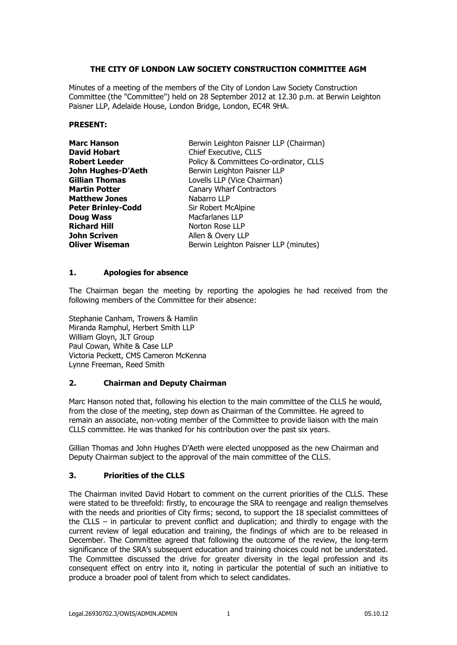## **THE CITY OF LONDON LAW SOCIETY CONSTRUCTION COMMITTEE AGM**

Minutes of a meeting of the members of the City of London Law Society Construction Committee (the "Committee") held on 28 September 2012 at 12.30 p.m. at Berwin Leighton Paisner LLP, Adelaide House, London Bridge, London, EC4R 9HA.

#### **PRESENT:**

| <b>Marc Hanson</b>        | Berwin Leighton Paisner LLP (Chairman) |
|---------------------------|----------------------------------------|
| David Hobart              | Chief Executive, CLLS                  |
| <b>Robert Leeder</b>      | Policy & Committees Co-ordinator, CLLS |
| John Hughes-D'Aeth        | Berwin Leighton Paisner LLP            |
| <b>Gillian Thomas</b>     | Lovells LLP (Vice Chairman)            |
| <b>Martin Potter</b>      | <b>Canary Wharf Contractors</b>        |
| <b>Matthew Jones</b>      | Nabarro LLP                            |
| <b>Peter Brinley-Codd</b> | Sir Robert McAlpine                    |
| <b>Doug Wass</b>          | Macfarlanes LLP                        |
| <b>Richard Hill</b>       | Norton Rose LLP                        |
| John Scriven              | Allen & Overy LLP                      |
| <b>Oliver Wiseman</b>     | Berwin Leighton Paisner LLP (minutes)  |

#### **1. Apologies for absence**

The Chairman began the meeting by reporting the apologies he had received from the following members of the Committee for their absence:

Stephanie Canham, Trowers & Hamlin Miranda Ramphul, Herbert Smith LLP William Gloyn, JLT Group Paul Cowan, White & Case LLP Victoria Peckett, CMS Cameron McKenna Lynne Freeman, Reed Smith

### **2. Chairman and Deputy Chairman**

Marc Hanson noted that, following his election to the main committee of the CLLS he would, from the close of the meeting, step down as Chairman of the Committee. He agreed to remain an associate, non-voting member of the Committee to provide liaison with the main CLLS committee. He was thanked for his contribution over the past six years.

Gillian Thomas and John Hughes D'Aeth were elected unopposed as the new Chairman and Deputy Chairman subject to the approval of the main committee of the CLLS.

### **3. Priorities of the CLLS**

The Chairman invited David Hobart to comment on the current priorities of the CLLS. These were stated to be threefold: firstly, to encourage the SRA to reengage and realign themselves with the needs and priorities of City firms; second, to support the 18 specialist committees of the CLLS – in particular to prevent conflict and duplication; and thirdly to engage with the current review of legal education and training, the findings of which are to be released in December. The Committee agreed that following the outcome of the review, the long-term significance of the SRA's subsequent education and training choices could not be understated. The Committee discussed the drive for greater diversity in the legal profession and its consequent effect on entry into it, noting in particular the potential of such an initiative to produce a broader pool of talent from which to select candidates.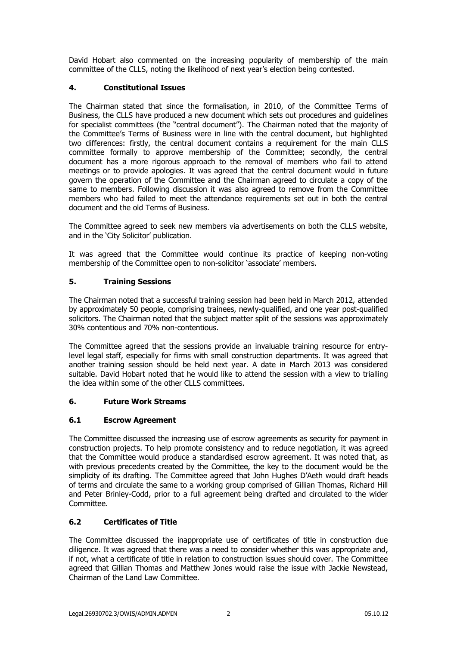David Hobart also commented on the increasing popularity of membership of the main committee of the CLLS, noting the likelihood of next year's election being contested.

## **4. Constitutional Issues**

The Chairman stated that since the formalisation, in 2010, of the Committee Terms of Business, the CLLS have produced a new document which sets out procedures and guidelines for specialist committees (the "central document"). The Chairman noted that the majority of the Committee's Terms of Business were in line with the central document, but highlighted two differences: firstly, the central document contains a requirement for the main CLLS committee formally to approve membership of the Committee; secondly, the central document has a more rigorous approach to the removal of members who fail to attend meetings or to provide apologies. It was agreed that the central document would in future govern the operation of the Committee and the Chairman agreed to circulate a copy of the same to members. Following discussion it was also agreed to remove from the Committee members who had failed to meet the attendance requirements set out in both the central document and the old Terms of Business.

The Committee agreed to seek new members via advertisements on both the CLLS website, and in the 'City Solicitor' publication.

It was agreed that the Committee would continue its practice of keeping non-voting membership of the Committee open to non-solicitor 'associate' members.

## **5. Training Sessions**

The Chairman noted that a successful training session had been held in March 2012, attended by approximately 50 people, comprising trainees, newly-qualified, and one year post-qualified solicitors. The Chairman noted that the subject matter split of the sessions was approximately 30% contentious and 70% non-contentious.

The Committee agreed that the sessions provide an invaluable training resource for entrylevel legal staff, especially for firms with small construction departments. It was agreed that another training session should be held next year. A date in March 2013 was considered suitable. David Hobart noted that he would like to attend the session with a view to trialling the idea within some of the other CLLS committees.

### **6. Future Work Streams**

### **6.1 Escrow Agreement**

The Committee discussed the increasing use of escrow agreements as security for payment in construction projects. To help promote consistency and to reduce negotiation, it was agreed that the Committee would produce a standardised escrow agreement. It was noted that, as with previous precedents created by the Committee, the key to the document would be the simplicity of its drafting. The Committee agreed that John Hughes D'Aeth would draft heads of terms and circulate the same to a working group comprised of Gillian Thomas, Richard Hill and Peter Brinley-Codd, prior to a full agreement being drafted and circulated to the wider Committee.

# **6.2 Certificates of Title**

The Committee discussed the inappropriate use of certificates of title in construction due diligence. It was agreed that there was a need to consider whether this was appropriate and, if not, what a certificate of title in relation to construction issues should cover. The Committee agreed that Gillian Thomas and Matthew Jones would raise the issue with Jackie Newstead, Chairman of the Land Law Committee.